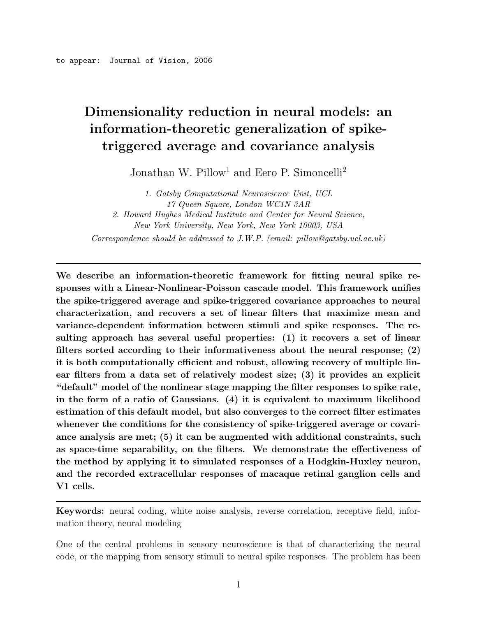# **Dimensionality reduction in neural models: an information-theoretic generalization of spiketriggered average and covariance analysis**

Jonathan W. Pillow<sup>1</sup> and Eero P. Simoncelli<sup>2</sup>

*1. Gatsby Computational Neuroscience Unit, UCL 17 Queen Square, London WC1N 3AR 2. Howard Hughes Medical Institute and Center for Neural Science, New York University, New York, New York 10003, USA Correspondence should be addressed to J.W.P. (email: pillow@gatsby.ucl.ac.uk)*

**We describe an information-theoretic framework for fitting neural spike responses with a Linear-Nonlinear-Poisson cascade model. This framework unifies the spike-triggered average and spike-triggered covariance approaches to neural characterization, and recovers a set of linear filters that maximize mean and variance-dependent information between stimuli and spike responses. The resulting approach has several useful properties: (1) it recovers a set of linear filters sorted according to their informativeness about the neural response; (2) it is both computationally efficient and robust, allowing recovery of multiple linear filters from a data set of relatively modest size; (3) it provides an explicit "default" model of the nonlinear stage mapping the filter responses to spike rate, in the form of a ratio of Gaussians. (4) it is equivalent to maximum likelihood estimation of this default model, but also converges to the correct filter estimates whenever the conditions for the consistency of spike-triggered average or covariance analysis are met; (5) it can be augmented with additional constraints, such as space-time separability, on the filters. We demonstrate the effectiveness of the method by applying it to simulated responses of a Hodgkin-Huxley neuron, and the recorded extracellular responses of macaque retinal ganglion cells and V1 cells.**

**Keywords:** neural coding, white noise analysis, reverse correlation, receptive field, information theory, neural modeling

One of the central problems in sensory neuroscience is that of characterizing the neural code, or the mapping from sensory stimuli to neural spike responses. The problem has been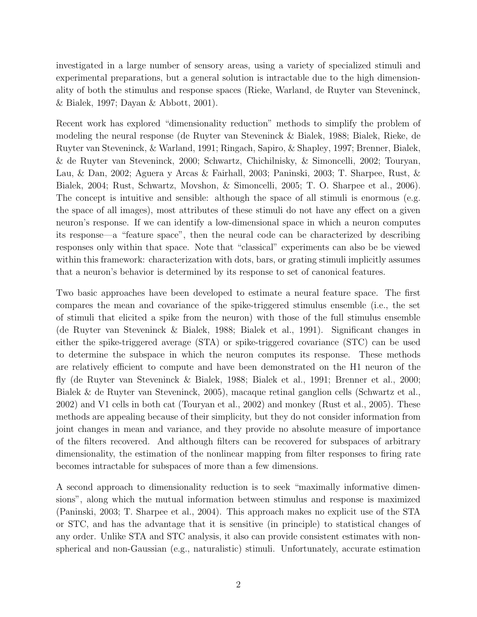investigated in a large number of sensory areas, using a variety of specialized stimuli and experimental preparations, but a general solution is intractable due to the high dimensionality of both the stimulus and response spaces (Rieke, Warland, de Ruyter van Steveninck, & Bialek, 1997; Dayan & Abbott, 2001).

Recent work has explored "dimensionality reduction" methods to simplify the problem of modeling the neural response (de Ruyter van Steveninck & Bialek, 1988; Bialek, Rieke, de Ruyter van Steveninck, & Warland, 1991; Ringach, Sapiro, & Shapley, 1997; Brenner, Bialek, & de Ruyter van Steveninck, 2000; Schwartz, Chichilnisky, & Simoncelli, 2002; Touryan, Lau, & Dan, 2002; Aguera y Arcas & Fairhall, 2003; Paninski, 2003; T. Sharpee, Rust, & Bialek, 2004; Rust, Schwartz, Movshon, & Simoncelli, 2005; T. O. Sharpee et al., 2006). The concept is intuitive and sensible: although the space of all stimuli is enormous (e.g. the space of all images), most attributes of these stimuli do not have any effect on a given neuron's response. If we can identify a low-dimensional space in which a neuron computes its response—a "feature space", then the neural code can be characterized by describing responses only within that space. Note that "classical" experiments can also be be viewed within this framework: characterization with dots, bars, or grating stimuli implicitly assumes that a neuron's behavior is determined by its response to set of canonical features.

Two basic approaches have been developed to estimate a neural feature space. The first compares the mean and covariance of the spike-triggered stimulus ensemble (i.e., the set of stimuli that elicited a spike from the neuron) with those of the full stimulus ensemble (de Ruyter van Steveninck & Bialek, 1988; Bialek et al., 1991). Significant changes in either the spike-triggered average (STA) or spike-triggered covariance (STC) can be used to determine the subspace in which the neuron computes its response. These methods are relatively efficient to compute and have been demonstrated on the H1 neuron of the fly (de Ruyter van Steveninck & Bialek, 1988; Bialek et al., 1991; Brenner et al., 2000; Bialek & de Ruyter van Steveninck, 2005), macaque retinal ganglion cells (Schwartz et al., 2002) and V1 cells in both cat (Touryan et al., 2002) and monkey (Rust et al., 2005). These methods are appealing because of their simplicity, but they do not consider information from joint changes in mean and variance, and they provide no absolute measure of importance of the filters recovered. And although filters can be recovered for subspaces of arbitrary dimensionality, the estimation of the nonlinear mapping from filter responses to firing rate becomes intractable for subspaces of more than a few dimensions.

A second approach to dimensionality reduction is to seek "maximally informative dimensions", along which the mutual information between stimulus and response is maximized (Paninski, 2003; T. Sharpee et al., 2004). This approach makes no explicit use of the STA or STC, and has the advantage that it is sensitive (in principle) to statistical changes of any order. Unlike STA and STC analysis, it also can provide consistent estimates with nonspherical and non-Gaussian (e.g., naturalistic) stimuli. Unfortunately, accurate estimation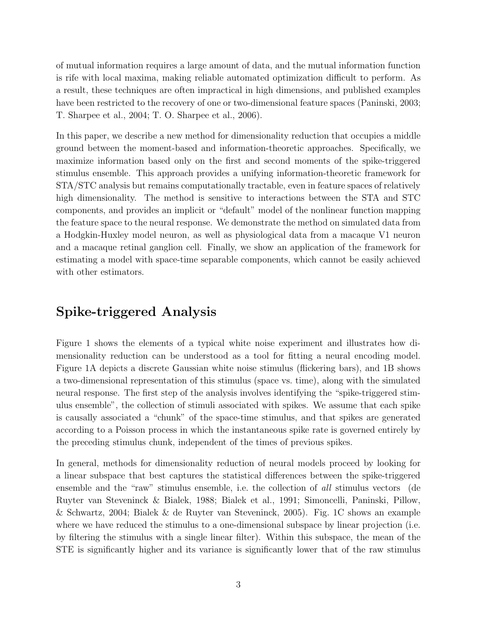of mutual information requires a large amount of data, and the mutual information function is rife with local maxima, making reliable automated optimization difficult to perform. As a result, these techniques are often impractical in high dimensions, and published examples have been restricted to the recovery of one or two-dimensional feature spaces (Paninski, 2003; T. Sharpee et al., 2004; T. O. Sharpee et al., 2006).

In this paper, we describe a new method for dimensionality reduction that occupies a middle ground between the moment-based and information-theoretic approaches. Specifically, we maximize information based only on the first and second moments of the spike-triggered stimulus ensemble. This approach provides a unifying information-theoretic framework for STA/STC analysis but remains computationally tractable, even in feature spaces of relatively high dimensionality. The method is sensitive to interactions between the STA and STC components, and provides an implicit or "default" model of the nonlinear function mapping the feature space to the neural response. We demonstrate the method on simulated data from a Hodgkin-Huxley model neuron, as well as physiological data from a macaque V1 neuron and a macaque retinal ganglion cell. Finally, we show an application of the framework for estimating a model with space-time separable components, which cannot be easily achieved with other estimators.

## **Spike-triggered Analysis**

Figure 1 shows the elements of a typical white noise experiment and illustrates how dimensionality reduction can be understood as a tool for fitting a neural encoding model. Figure 1A depicts a discrete Gaussian white noise stimulus (flickering bars), and 1B shows a two-dimensional representation of this stimulus (space vs. time), along with the simulated neural response. The first step of the analysis involves identifying the "spike-triggered stimulus ensemble", the collection of stimuli associated with spikes. We assume that each spike is causally associated a "chunk" of the space-time stimulus, and that spikes are generated according to a Poisson process in which the instantaneous spike rate is governed entirely by the preceding stimulus chunk, independent of the times of previous spikes.

In general, methods for dimensionality reduction of neural models proceed by looking for a linear subspace that best captures the statistical differences between the spike-triggered ensemble and the "raw" stimulus ensemble, i.e. the collection of *all* stimulus vectors (de Ruyter van Steveninck & Bialek, 1988; Bialek et al., 1991; Simoncelli, Paninski, Pillow, & Schwartz, 2004; Bialek & de Ruyter van Steveninck, 2005). Fig. 1C shows an example where we have reduced the stimulus to a one-dimensional subspace by linear projection (i.e. by filtering the stimulus with a single linear filter). Within this subspace, the mean of the STE is significantly higher and its variance is significantly lower that of the raw stimulus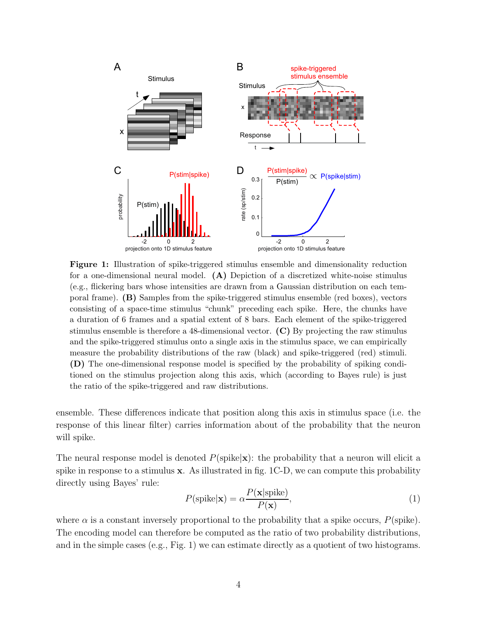

**Figure 1:** Illustration of spike-triggered stimulus ensemble and dimensionality reduction for a one-dimensional neural model. **(A)** Depiction of a discretized white-noise stimulus (e.g., flickering bars whose intensities are drawn from a Gaussian distribution on each temporal frame). **(B)** Samples from the spike-triggered stimulus ensemble (red boxes), vectors consisting of a space-time stimulus "chunk" preceding each spike. Here, the chunks have a duration of 6 frames and a spatial extent of 8 bars. Each element of the spike-triggered stimulus ensemble is therefore a 48-dimensional vector. **(C)** By projecting the raw stimulus and the spike-triggered stimulus onto a single axis in the stimulus space, we can empirically measure the probability distributions of the raw (black) and spike-triggered (red) stimuli. **(D)** The one-dimensional response model is specified by the probability of spiking conditioned on the stimulus projection along this axis, which (according to Bayes rule) is just the ratio of the spike-triggered and raw distributions.

ensemble. These differences indicate that position along this axis in stimulus space (i.e. the response of this linear filter) carries information about of the probability that the neuron will spike.

The neural response model is denoted  $P(\text{spike}|\mathbf{x})$ : the probability that a neuron will elicit a spike in response to a stimulus **x**. As illustrated in fig. 1C-D, we can compute this probability directly using Bayes' rule:

$$
P(\text{spike}|\mathbf{x}) = \alpha \frac{P(\mathbf{x}|\text{spike})}{P(\mathbf{x})},\tag{1}
$$

where  $\alpha$  is a constant inversely proportional to the probability that a spike occurs,  $P(\text{spike})$ . The encoding model can therefore be computed as the ratio of two probability distributions, and in the simple cases (e.g., Fig. 1) we can estimate directly as a quotient of two histograms.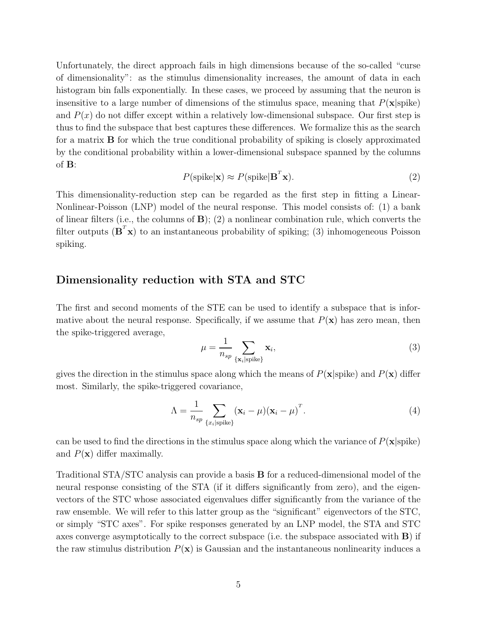Unfortunately, the direct approach fails in high dimensions because of the so-called "curse of dimensionality": as the stimulus dimensionality increases, the amount of data in each histogram bin falls exponentially. In these cases, we proceed by assuming that the neuron is insensitive to a large number of dimensions of the stimulus space, meaning that  $P(\mathbf{x}|\text{spike})$ and  $P(x)$  do not differ except within a relatively low-dimensional subspace. Our first step is thus to find the subspace that best captures these differences. We formalize this as the search for a matrix **B** for which the true conditional probability of spiking is closely approximated by the conditional probability within a lower-dimensional subspace spanned by the columns of **B**:

$$
P(\text{spike}|\mathbf{x}) \approx P(\text{spike}|\mathbf{B}^T \mathbf{x}).\tag{2}
$$

This dimensionality-reduction step can be regarded as the first step in fitting a Linear-Nonlinear-Poisson (LNP) model of the neural response. This model consists of: (1) a bank of linear filters (i.e., the columns of **B**); (2) a nonlinear combination rule, which converts the filter outputs  $(\mathbf{B}^T \mathbf{x})$  to an instantaneous probability of spiking; (3) inhomogeneous Poisson spiking.

#### **Dimensionality reduction with STA and STC**

The first and second moments of the STE can be used to identify a subspace that is informative about the neural response. Specifically, if we assume that  $P(\mathbf{x})$  has zero mean, then the spike-triggered average,

$$
\mu = \frac{1}{n_{sp}} \sum_{\{\mathbf{x}_i | \text{spike}\}} \mathbf{x}_i,\tag{3}
$$

gives the direction in the stimulus space along which the means of  $P(\mathbf{x}|\text{spike})$  and  $P(\mathbf{x})$  differ most. Similarly, the spike-triggered covariance,

$$
\Lambda = \frac{1}{n_{sp}} \sum_{\{x_i \mid \text{spike}\}} (\mathbf{x}_i - \mu) (\mathbf{x}_i - \mu)^T.
$$
 (4)

can be used to find the directions in the stimulus space along which the variance of  $P(\mathbf{x}|\text{spike})$ and  $P(\mathbf{x})$  differ maximally.

Traditional STA/STC analysis can provide a basis **B** for a reduced-dimensional model of the neural response consisting of the STA (if it differs significantly from zero), and the eigenvectors of the STC whose associated eigenvalues differ significantly from the variance of the raw ensemble. We will refer to this latter group as the "significant" eigenvectors of the STC, or simply "STC axes". For spike responses generated by an LNP model, the STA and STC axes converge asymptotically to the correct subspace (i.e. the subspace associated with **B**) if the raw stimulus distribution  $P(\mathbf{x})$  is Gaussian and the instantaneous nonlinearity induces a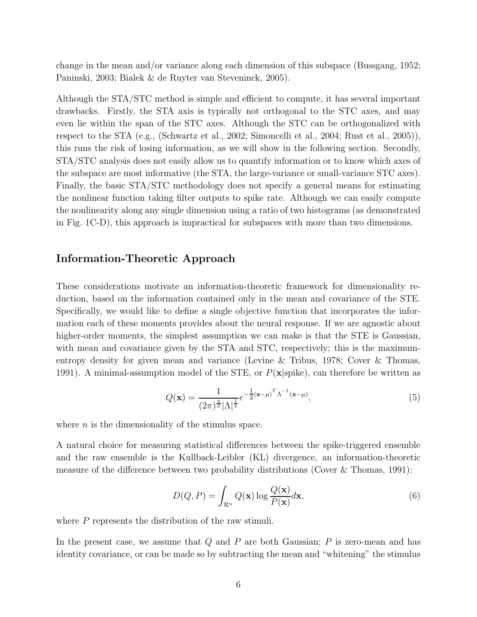change in the mean and/or variance along each dimension of this subspace (Bussgang, 1952; Paninski, 2003; Bialek & de Ruyter van Steveninck, 2005).

Although the STA/STC method is simple and efficient to compute, it has several important drawbacks. Firstly, the STA axis is typically not orthogonal to the STC axes, and may even lie within the span of the STC axes. Although the STC can be orthogonalized with respect to the STA (e.g., (Schwartz et al., 2002; Simoncelli et al., 2004; Rust et al., 2005)), this runs the risk of losing information, as we will show in the following section. Secondly, STA/STC analysis does not easily allow us to quantify information or to know which axes of the subspace are most informative (the STA, the large-variance or small-variance STC axes). Finally, the basic STA/STC methodology does not specify a general means for estimating the nonlinear function taking filter outputs to spike rate. Although we can easily compute the nonlinearity along any single dimension using a ratio of two histograms (as demonstrated in Fig. 1C-D), this approach is impractical for subspaces with more than two dimensions.

#### **Information-Theoretic Approach**

These considerations motivate an information-theoretic framework for dimensionality reduction, based on the information contained only in the mean and covariance of the STE. Specifically, we would like to define a single objective function that incorporates the information each of these moments provides about the neural response. If we are agnostic about higher-order moments, the simplest assumption we can make is that the STE is Gaussian, with mean and covariance given by the STA and STC, respectively; this is the maximumentropy density for given mean and variance (Levine & Tribus, 1978; Cover & Thomas, 1991). A minimal-assumption model of the STE, or  $P(\mathbf{x}|\text{spike})$ , can therefore be written as

$$
Q(\mathbf{x}) = \frac{1}{(2\pi)^{\frac{n}{2}} |\Lambda|^{\frac{1}{2}}} e^{-\frac{1}{2} (\mathbf{x} - \mu)^T \Lambda^{-1} (\mathbf{x} - \mu)},
$$
\n(5)

where  $n$  is the dimensionality of the stimulus space.

A natural choice for measuring statistical differences between the spike-triggered ensemble and the raw ensemble is the Kullback-Leibler (KL) divergence, an information-theoretic measure of the difference between two probability distributions (Cover & Thomas, 1991):

$$
D(Q, P) = \int_{\mathcal{R}^n} Q(\mathbf{x}) \log \frac{Q(\mathbf{x})}{P(\mathbf{x})} d\mathbf{x},\tag{6}
$$

where  $P$  represents the distribution of the raw stimuli.

In the present case, we assume that  $Q$  and  $P$  are both Gaussian;  $P$  is zero-mean and has identity covariance, or can be made so by subtracting the mean and "whitening" the stimulus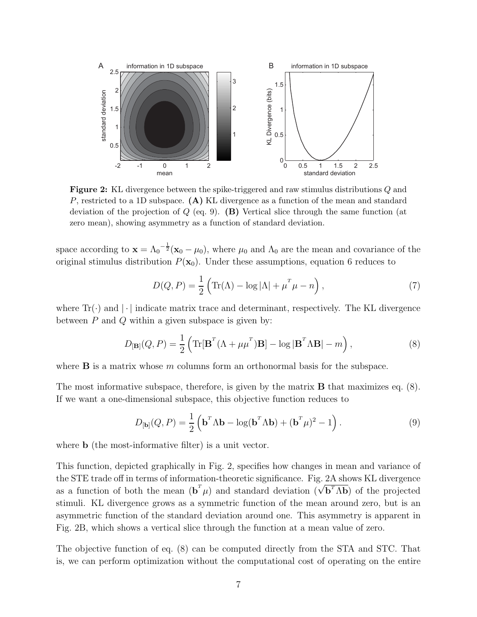

**Figure 2:** KL divergence between the spike-triggered and raw stimulus distributions *Q* and *P*, restricted to a 1D subspace. **(A)** KL divergence as a function of the mean and standard deviation of the projection of *Q* (eq. 9). **(B)** Vertical slice through the same function (at zero mean), showing asymmetry as a function of standard deviation.

space according to  $\mathbf{x} = \Lambda_0^{-\frac{1}{2}}(\mathbf{x}_0 - \mu_0)$ , where  $\mu_0$  and  $\Lambda_0$  are the mean and covariance of the original stimulus distribution  $P(\mathbf{x}_0)$ . Under these assumptions, equation 6 reduces to

$$
D(Q, P) = \frac{1}{2} \left( \text{Tr}(\Lambda) - \log |\Lambda| + \mu^T \mu - n \right),\tag{7}
$$

where  $\text{Tr}(\cdot)$  and  $|\cdot|$  indicate matrix trace and determinant, respectively. The KL divergence between  $P$  and  $Q$  within a given subspace is given by:

$$
D_{[\mathbf{B}]}(Q, P) = \frac{1}{2} \left( \text{Tr}[\mathbf{B}^T (\Lambda + \mu \mu^T) \mathbf{B}] - \log |\mathbf{B}^T \Lambda \mathbf{B}| - m \right),\tag{8}
$$

where  $\bf{B}$  is a matrix whose m columns form an orthonormal basis for the subspace.

The most informative subspace, therefore, is given by the matrix **B** that maximizes eq. (8). If we want a one-dimensional subspace, this objective function reduces to

$$
D_{[\mathbf{b}]}(Q, P) = \frac{1}{2} \left( \mathbf{b}^T \Lambda \mathbf{b} - \log(\mathbf{b}^T \Lambda \mathbf{b}) + (\mathbf{b}^T \mu)^2 - 1 \right). \tag{9}
$$

where **b** (the most-informative filter) is a unit vector.

This function, depicted graphically in Fig. 2, specifies how changes in mean and variance of the STE trade off in terms of information-theoretic significance. Fig. 2A shows KL divergence as a function of both the mean  $(\mathbf{b}^T \mu)$  and standard deviation  $(\sqrt{\mathbf{b}^T \Lambda \mathbf{b}})$  of the projected as a function of both the mean  $(\mathbf{b}^T \mu)$  and standard deviation  $(\sqrt{\mathbf{b}^T \Lambda \mathbf{b}})$  of the projected stimuli. KL divergence grows as a symmetric function of the mean around zero, but is an asymmetric function of the standard deviation around one. This asymmetry is apparent in Fig. 2B, which shows a vertical slice through the function at a mean value of zero.

The objective function of eq. (8) can be computed directly from the STA and STC. That is, we can perform optimization without the computational cost of operating on the entire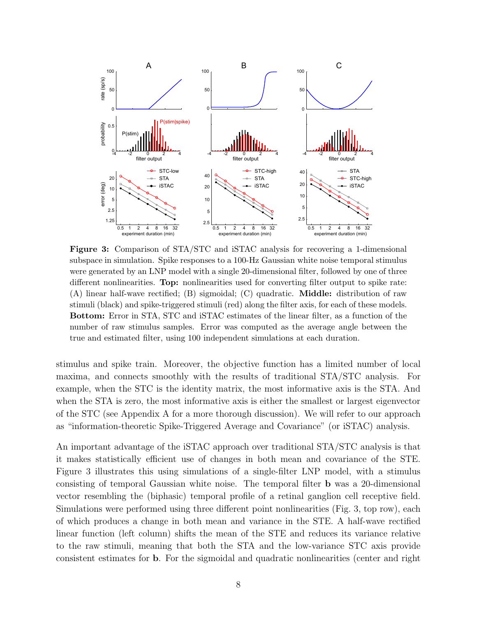

**Figure 3:** Comparison of STA/STC and iSTAC analysis for recovering a 1-dimensional subspace in simulation. Spike responses to a 100-Hz Gaussian white noise temporal stimulus were generated by an LNP model with a single 20-dimensional filter, followed by one of three different nonlinearities. **Top:** nonlinearities used for converting filter output to spike rate: (A) linear half-wave rectified; (B) sigmoidal; (C) quadratic. **Middle:** distribution of raw stimuli (black) and spike-triggered stimuli (red) along the filter axis, for each of these models. **Bottom:** Error in STA, STC and iSTAC estimates of the linear filter, as a function of the number of raw stimulus samples. Error was computed as the average angle between the true and estimated filter, using 100 independent simulations at each duration.

stimulus and spike train. Moreover, the objective function has a limited number of local maxima, and connects smoothly with the results of traditional STA/STC analysis. For example, when the STC is the identity matrix, the most informative axis is the STA. And when the STA is zero, the most informative axis is either the smallest or largest eigenvector of the STC (see Appendix A for a more thorough discussion). We will refer to our approach as "information-theoretic Spike-Triggered Average and Covariance" (or iSTAC) analysis.

An important advantage of the iSTAC approach over traditional STA/STC analysis is that it makes statistically efficient use of changes in both mean and covariance of the STE. Figure 3 illustrates this using simulations of a single-filter LNP model, with a stimulus consisting of temporal Gaussian white noise. The temporal filter **b** was a 20-dimensional vector resembling the (biphasic) temporal profile of a retinal ganglion cell receptive field. Simulations were performed using three different point nonlinearities (Fig. 3, top row), each of which produces a change in both mean and variance in the STE. A half-wave rectified linear function (left column) shifts the mean of the STE and reduces its variance relative to the raw stimuli, meaning that both the STA and the low-variance STC axis provide consistent estimates for **b**. For the sigmoidal and quadratic nonlinearities (center and right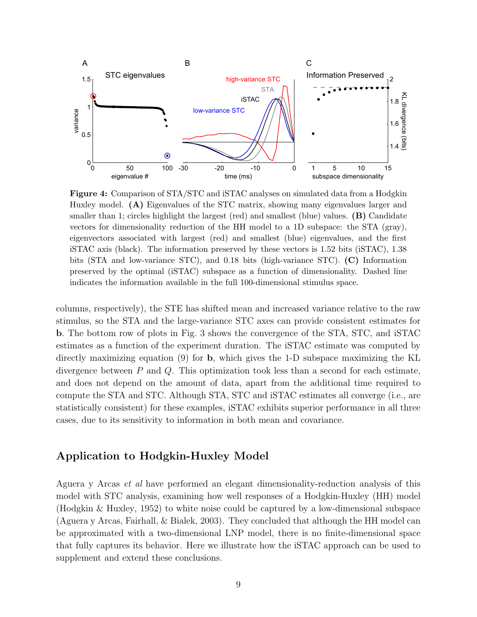

**Figure 4:** Comparison of STA/STC and iSTAC analyses on simulated data from a Hodgkin Huxley model. **(A)** Eigenvalues of the STC matrix, showing many eigenvalues larger and smaller than 1; circles highlight the largest (red) and smallest (blue) values. **(B)** Candidate vectors for dimensionality reduction of the HH model to a 1D subspace: the STA (gray), eigenvectors associated with largest (red) and smallest (blue) eigenvalues, and the first iSTAC axis (black). The information preserved by these vectors is 1.52 bits (iSTAC), 1.38 bits (STA and low-variance STC), and 0.18 bits (high-variance STC). **(C)** Information preserved by the optimal (iSTAC) subspace as a function of dimensionality. Dashed line indicates the information available in the full 100-dimensional stimulus space.

columns, respectively), the STE has shifted mean and increased variance relative to the raw stimulus, so the STA and the large-variance STC axes can provide consistent estimates for **b**. The bottom row of plots in Fig. 3 shows the convergence of the STA, STC, and iSTAC estimates as a function of the experiment duration. The iSTAC estimate was computed by directly maximizing equation (9) for **b**, which gives the 1-D subspace maximizing the KL divergence between  $P$  and  $Q$ . This optimization took less than a second for each estimate, and does not depend on the amount of data, apart from the additional time required to compute the STA and STC. Although STA, STC and iSTAC estimates all converge (i.e., are statistically consistent) for these examples, iSTAC exhibits superior performance in all three cases, due to its sensitivity to information in both mean and covariance.

#### **Application to Hodgkin-Huxley Model**

Aguera y Arcas *et al* have performed an elegant dimensionality-reduction analysis of this model with STC analysis, examining how well responses of a Hodgkin-Huxley (HH) model (Hodgkin & Huxley, 1952) to white noise could be captured by a low-dimensional subspace (Aguera y Arcas, Fairhall, & Bialek, 2003). They concluded that although the HH model can be approximated with a two-dimensional LNP model, there is no finite-dimensional space that fully captures its behavior. Here we illustrate how the iSTAC approach can be used to supplement and extend these conclusions.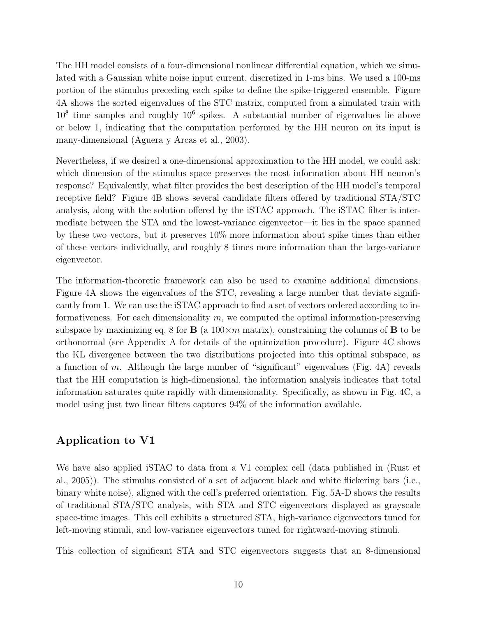The HH model consists of a four-dimensional nonlinear differential equation, which we simulated with a Gaussian white noise input current, discretized in 1-ms bins. We used a 100-ms portion of the stimulus preceding each spike to define the spike-triggered ensemble. Figure 4A shows the sorted eigenvalues of the STC matrix, computed from a simulated train with  $10<sup>8</sup>$  time samples and roughly  $10<sup>6</sup>$  spikes. A substantial number of eigenvalues lie above or below 1, indicating that the computation performed by the HH neuron on its input is many-dimensional (Aguera y Arcas et al., 2003).

Nevertheless, if we desired a one-dimensional approximation to the HH model, we could ask: which dimension of the stimulus space preserves the most information about HH neuron's response? Equivalently, what filter provides the best description of the HH model's temporal receptive field? Figure 4B shows several candidate filters offered by traditional STA/STC analysis, along with the solution offered by the iSTAC approach. The iSTAC filter is intermediate between the STA and the lowest-variance eigenvector—it lies in the space spanned by these two vectors, but it preserves 10% more information about spike times than either of these vectors individually, and roughly 8 times more information than the large-variance eigenvector.

The information-theoretic framework can also be used to examine additional dimensions. Figure 4A shows the eigenvalues of the STC, revealing a large number that deviate significantly from 1. We can use the iSTAC approach to find a set of vectors ordered according to informativeness. For each dimensionality  $m$ , we computed the optimal information-preserving subspace by maximizing eq. 8 for **B** (a  $100 \times m$  matrix), constraining the columns of **B** to be orthonormal (see Appendix A for details of the optimization procedure). Figure 4C shows the KL divergence between the two distributions projected into this optimal subspace, as a function of m. Although the large number of "significant" eigenvalues (Fig. 4A) reveals that the HH computation is high-dimensional, the information analysis indicates that total information saturates quite rapidly with dimensionality. Specifically, as shown in Fig. 4C, a model using just two linear filters captures 94% of the information available.

### **Application to V1**

We have also applied iSTAC to data from a V1 complex cell (data published in (Rust et al., 2005)). The stimulus consisted of a set of adjacent black and white flickering bars (i.e., binary white noise), aligned with the cell's preferred orientation. Fig. 5A-D shows the results of traditional STA/STC analysis, with STA and STC eigenvectors displayed as grayscale space-time images. This cell exhibits a structured STA, high-variance eigenvectors tuned for left-moving stimuli, and low-variance eigenvectors tuned for rightward-moving stimuli.

This collection of significant STA and STC eigenvectors suggests that an 8-dimensional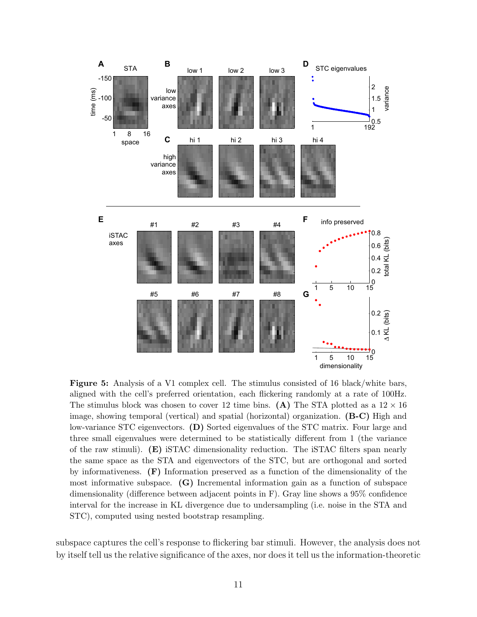

**Figure 5:** Analysis of a V1 complex cell. The stimulus consisted of 16 black/white bars, aligned with the cell's preferred orientation, each flickering randomly at a rate of 100Hz. The stimulus block was chosen to cover 12 time bins. **(A)** The STA plotted as a  $12 \times 16$ image, showing temporal (vertical) and spatial (horizontal) organization. **(B-C)** High and low-variance STC eigenvectors. **(D)** Sorted eigenvalues of the STC matrix. Four large and three small eigenvalues were determined to be statistically different from 1 (the variance of the raw stimuli). **(E)** iSTAC dimensionality reduction. The iSTAC filters span nearly the same space as the STA and eigenvectors of the STC, but are orthogonal and sorted by informativeness. **(F)** Information preserved as a function of the dimensionality of the most informative subspace. **(G)** Incremental information gain as a function of subspace dimensionality (difference between adjacent points in F). Gray line shows a 95% confidence interval for the increase in KL divergence due to undersampling (i.e. noise in the STA and STC), computed using nested bootstrap resampling.

subspace captures the cell's response to flickering bar stimuli. However, the analysis does not by itself tell us the relative significance of the axes, nor does it tell us the information-theoretic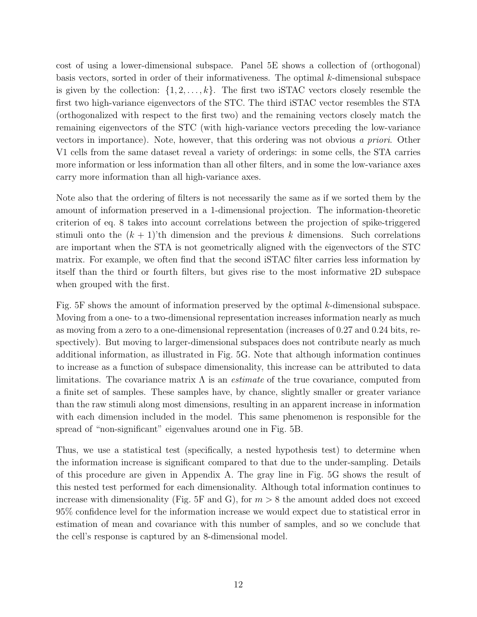cost of using a lower-dimensional subspace. Panel 5E shows a collection of (orthogonal) basis vectors, sorted in order of their informativeness. The optimal  $k$ -dimensional subspace is given by the collection:  $\{1, 2, \ldots, k\}$ . The first two iSTAC vectors closely resemble the first two high-variance eigenvectors of the STC. The third iSTAC vector resembles the STA (orthogonalized with respect to the first two) and the remaining vectors closely match the remaining eigenvectors of the STC (with high-variance vectors preceding the low-variance vectors in importance). Note, however, that this ordering was not obvious *a priori*. Other V1 cells from the same dataset reveal a variety of orderings: in some cells, the STA carries more information or less information than all other filters, and in some the low-variance axes carry more information than all high-variance axes.

Note also that the ordering of filters is not necessarily the same as if we sorted them by the amount of information preserved in a 1-dimensional projection. The information-theoretic criterion of eq. 8 takes into account correlations between the projection of spike-triggered stimuli onto the  $(k + 1)$ 'th dimension and the previous k dimensions. Such correlations are important when the STA is not geometrically aligned with the eigenvectors of the STC matrix. For example, we often find that the second iSTAC filter carries less information by itself than the third or fourth filters, but gives rise to the most informative 2D subspace when grouped with the first.

Fig.  $5F$  shows the amount of information preserved by the optimal k-dimensional subspace. Moving from a one- to a two-dimensional representation increases information nearly as much as moving from a zero to a one-dimensional representation (increases of 0.27 and 0.24 bits, respectively). But moving to larger-dimensional subspaces does not contribute nearly as much additional information, as illustrated in Fig. 5G. Note that although information continues to increase as a function of subspace dimensionality, this increase can be attributed to data limitations. The covariance matrix Λ is an *estimate* of the true covariance, computed from a finite set of samples. These samples have, by chance, slightly smaller or greater variance than the raw stimuli along most dimensions, resulting in an apparent increase in information with each dimension included in the model. This same phenomenon is responsible for the spread of "non-significant" eigenvalues around one in Fig. 5B.

Thus, we use a statistical test (specifically, a nested hypothesis test) to determine when the information increase is significant compared to that due to the under-sampling. Details of this procedure are given in Appendix A. The gray line in Fig. 5G shows the result of this nested test performed for each dimensionality. Although total information continues to increase with dimensionality (Fig. 5F and G), for  $m > 8$  the amount added does not exceed 95% confidence level for the information increase we would expect due to statistical error in estimation of mean and covariance with this number of samples, and so we conclude that the cell's response is captured by an 8-dimensional model.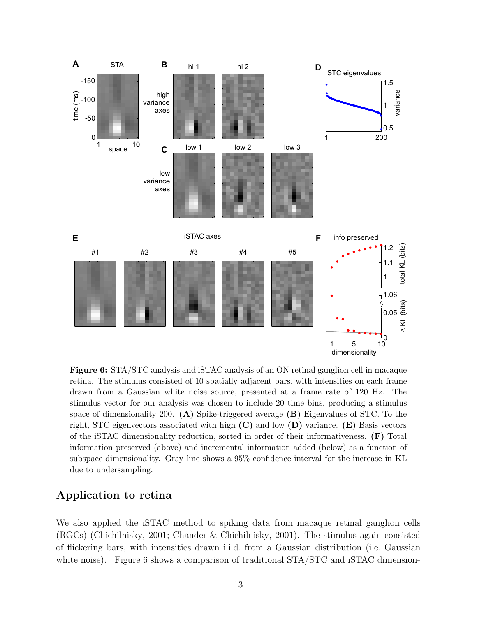

**Figure 6:** STA/STC analysis and iSTAC analysis of an ON retinal ganglion cell in macaque retina. The stimulus consisted of 10 spatially adjacent bars, with intensities on each frame drawn from a Gaussian white noise source, presented at a frame rate of 120 Hz. The stimulus vector for our analysis was chosen to include 20 time bins, producing a stimulus space of dimensionality 200. **(A)** Spike-triggered average **(B)** Eigenvalues of STC. To the right, STC eigenvectors associated with high **(C)** and low **(D)** variance. **(E)** Basis vectors of the iSTAC dimensionality reduction, sorted in order of their informativeness. **(F)** Total information preserved (above) and incremental information added (below) as a function of subspace dimensionality. Gray line shows a 95% confidence interval for the increase in KL due to undersampling.

#### **Application to retina**

We also applied the iSTAC method to spiking data from macaque retinal ganglion cells (RGCs) (Chichilnisky, 2001; Chander & Chichilnisky, 2001). The stimulus again consisted of flickering bars, with intensities drawn i.i.d. from a Gaussian distribution (i.e. Gaussian white noise). Figure 6 shows a comparison of traditional STA/STC and iSTAC dimension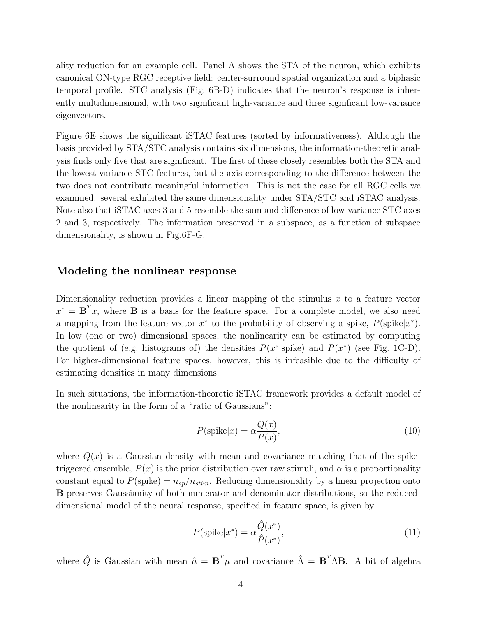ality reduction for an example cell. Panel A shows the STA of the neuron, which exhibits canonical ON-type RGC receptive field: center-surround spatial organization and a biphasic temporal profile. STC analysis (Fig. 6B-D) indicates that the neuron's response is inherently multidimensional, with two significant high-variance and three significant low-variance eigenvectors.

Figure 6E shows the significant iSTAC features (sorted by informativeness). Although the basis provided by STA/STC analysis contains six dimensions, the information-theoretic analysis finds only five that are significant. The first of these closely resembles both the STA and the lowest-variance STC features, but the axis corresponding to the difference between the two does not contribute meaningful information. This is not the case for all RGC cells we examined: several exhibited the same dimensionality under STA/STC and iSTAC analysis. Note also that iSTAC axes 3 and 5 resemble the sum and difference of low-variance STC axes 2 and 3, respectively. The information preserved in a subspace, as a function of subspace dimensionality, is shown in Fig.6F-G.

#### **Modeling the nonlinear response**

Dimensionality reduction provides a linear mapping of the stimulus  $x$  to a feature vector  $x^* = \mathbf{B}^T x$ , where **B** is a basis for the feature space. For a complete model, we also need a mapping from the feature vector  $x^*$  to the probability of observing a spike,  $P(\text{spike}|x^*)$ . In low (one or two) dimensional spaces, the nonlinearity can be estimated by computing the quotient of (e.g. histograms of) the densities  $P(x^*|spike)$  and  $P(x^*)$  (see Fig. 1C-D). For higher-dimensional feature spaces, however, this is infeasible due to the difficulty of estimating densities in many dimensions.

In such situations, the information-theoretic iSTAC framework provides a default model of the nonlinearity in the form of a "ratio of Gaussians":

$$
P(\text{spike}|x) = \alpha \frac{Q(x)}{P(x)},\tag{10}
$$

where  $Q(x)$  is a Gaussian density with mean and covariance matching that of the spiketriggered ensemble,  $P(x)$  is the prior distribution over raw stimuli, and  $\alpha$  is a proportionality constant equal to  $P(\text{spike}) = n_{sp}/n_{stim}$ . Reducing dimensionality by a linear projection onto **B** preserves Gaussianity of both numerator and denominator distributions, so the reduceddimensional model of the neural response, specified in feature space, is given by

$$
P(\text{spike}|x^*) = \alpha \frac{\hat{Q}(x^*)}{\hat{P}(x^*)},\tag{11}
$$

where  $\hat{Q}$  is Gaussian with mean  $\hat{\mu} = \mathbf{B}^T \mu$  and covariance  $\hat{\Lambda} = \mathbf{B}^T \Lambda \mathbf{B}$ . A bit of algebra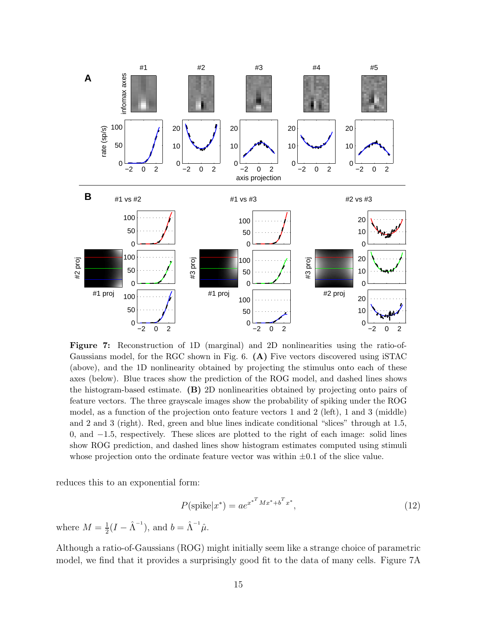

**Figure 7:** Reconstruction of 1D (marginal) and 2D nonlinearities using the ratio-of-Gaussians model, for the RGC shown in Fig. 6. **(A)** Five vectors discovered using iSTAC (above), and the 1D nonlinearity obtained by projecting the stimulus onto each of these axes (below). Blue traces show the prediction of the ROG model, and dashed lines shows the histogram-based estimate. **(B)** 2D nonlinearities obtained by projecting onto pairs of feature vectors. The three grayscale images show the probability of spiking under the ROG model, as a function of the projection onto feature vectors 1 and 2 (left), 1 and 3 (middle) and 2 and 3 (right). Red, green and blue lines indicate conditional "slices" through at 1*.*5, 0, and −1*.*5, respectively. These slices are plotted to the right of each image: solid lines show ROG prediction, and dashed lines show histogram estimates computed using stimuli whose projection onto the ordinate feature vector was within ±0*.*1 of the slice value.

reduces this to an exponential form:

$$
P(\text{spike}|x^*) = ae^{x^{*T}Mx^* + b^T x^*},\tag{12}
$$

where  $M = \frac{1}{2}(I - \hat{\Lambda}^{-1})$ , and  $b = \hat{\Lambda}^{-1}\hat{\mu}$ .

Although a ratio-of-Gaussians (ROG) might initially seem like a strange choice of parametric model, we find that it provides a surprisingly good fit to the data of many cells. Figure 7A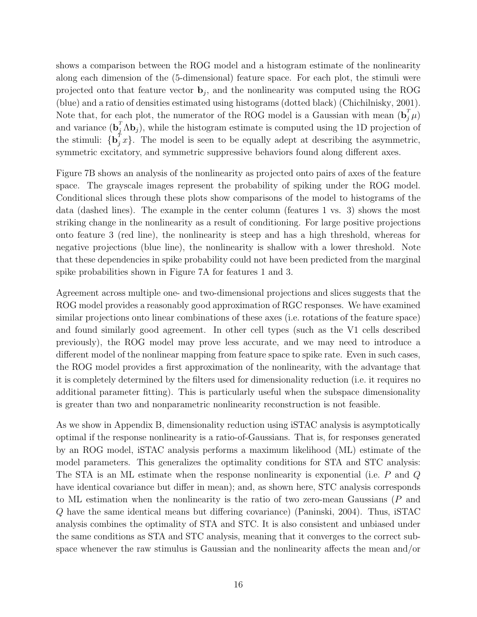shows a comparison between the ROG model and a histogram estimate of the nonlinearity along each dimension of the (5-dimensional) feature space. For each plot, the stimuli were projected onto that feature vector  $\mathbf{b}_j$ , and the nonlinearity was computed using the ROG (blue) and a ratio of densities estimated using histograms (dotted black) (Chichilnisky, 2001). Note that, for each plot, the numerator of the ROG model is a Gaussian with mean  $(\mathbf{b}_{i}^{T}\mu)$ Note that, for each plot, the numerator of the ROG model is a Gaussian with mean  $(\mathbf{b}_j^T \boldsymbol{\mu})$ <br>and variance  $(\mathbf{b}_j^T \boldsymbol{\Lambda} \mathbf{b}_j)$ , while the histogram estimate is computed using the 1D projection of the stimuli:  $\{\mathbf{b}_j^T x\}$ . The model is seen to be equally adept at describing the asymmetric, symmetric excitatory, and symmetric suppressive behaviors found along different axes.

Figure 7B shows an analysis of the nonlinearity as projected onto pairs of axes of the feature space. The grayscale images represent the probability of spiking under the ROG model. Conditional slices through these plots show comparisons of the model to histograms of the data (dashed lines). The example in the center column (features 1 vs. 3) shows the most striking change in the nonlinearity as a result of conditioning. For large positive projections onto feature 3 (red line), the nonlinearity is steep and has a high threshold, whereas for negative projections (blue line), the nonlinearity is shallow with a lower threshold. Note that these dependencies in spike probability could not have been predicted from the marginal spike probabilities shown in Figure 7A for features 1 and 3.

Agreement across multiple one- and two-dimensional projections and slices suggests that the ROG model provides a reasonably good approximation of RGC responses. We have examined similar projections onto linear combinations of these axes (i.e. rotations of the feature space) and found similarly good agreement. In other cell types (such as the V1 cells described previously), the ROG model may prove less accurate, and we may need to introduce a different model of the nonlinear mapping from feature space to spike rate. Even in such cases, the ROG model provides a first approximation of the nonlinearity, with the advantage that it is completely determined by the filters used for dimensionality reduction (i.e. it requires no additional parameter fitting). This is particularly useful when the subspace dimensionality is greater than two and nonparametric nonlinearity reconstruction is not feasible.

As we show in Appendix B, dimensionality reduction using iSTAC analysis is asymptotically optimal if the response nonlinearity is a ratio-of-Gaussians. That is, for responses generated by an ROG model, iSTAC analysis performs a maximum likelihood (ML) estimate of the model parameters. This generalizes the optimality conditions for STA and STC analysis: The STA is an ML estimate when the response nonlinearity is exponential (i.e.  $P$  and  $Q$ have identical covariance but differ in mean); and, as shown here, STC analysis corresponds to ML estimation when the nonlinearity is the ratio of two zero-mean Gaussians (P and Q have the same identical means but differing covariance) (Paninski, 2004). Thus, iSTAC analysis combines the optimality of STA and STC. It is also consistent and unbiased under the same conditions as STA and STC analysis, meaning that it converges to the correct subspace whenever the raw stimulus is Gaussian and the nonlinearity affects the mean and/or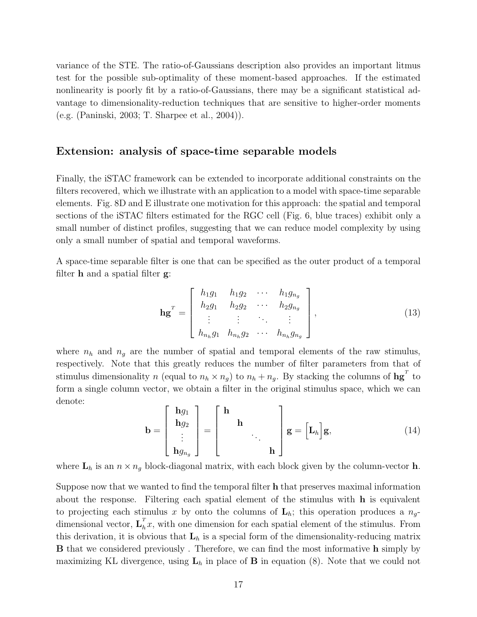variance of the STE. The ratio-of-Gaussians description also provides an important litmus test for the possible sub-optimality of these moment-based approaches. If the estimated nonlinearity is poorly fit by a ratio-of-Gaussians, there may be a significant statistical advantage to dimensionality-reduction techniques that are sensitive to higher-order moments (e.g. (Paninski, 2003; T. Sharpee et al., 2004)).

#### **Extension: analysis of space-time separable models**

Finally, the iSTAC framework can be extended to incorporate additional constraints on the filters recovered, which we illustrate with an application to a model with space-time separable elements. Fig. 8D and E illustrate one motivation for this approach: the spatial and temporal sections of the iSTAC filters estimated for the RGC cell (Fig. 6, blue traces) exhibit only a small number of distinct profiles, suggesting that we can reduce model complexity by using only a small number of spatial and temporal waveforms.

A space-time separable filter is one that can be specified as the outer product of a temporal filter **h** and a spatial filter **g**:

$$
\mathbf{h}\mathbf{g}^{T} = \begin{bmatrix} h_1 g_1 & h_1 g_2 & \cdots & h_1 g_{n_g} \\ h_2 g_1 & h_2 g_2 & \cdots & h_2 g_{n_g} \\ \vdots & \vdots & \ddots & \vdots \\ h_{n_h} g_1 & h_{n_h} g_2 & \cdots & h_{n_h} g_{n_g} \end{bmatrix},
$$
(13)

where  $n_h$  and  $n_g$  are the number of spatial and temporal elements of the raw stimulus, respectively. Note that this greatly reduces the number of filter parameters from that of stimulus dimensionality n (equal to  $n_h \times n_g$ ) to  $n_h + n_g$ . By stacking the columns of  $\mathbf{h}\mathbf{g}^T$  to form a single column vector, we obtain a filter in the original stimulus space, which we can denote:

$$
\mathbf{b} = \begin{bmatrix} \mathbf{h}g_1 \\ \mathbf{h}g_2 \\ \vdots \\ \mathbf{h}g_{n_g} \end{bmatrix} = \begin{bmatrix} \mathbf{h} \\ & \mathbf{h} \\ & & \ddots \\ & & & \mathbf{h} \end{bmatrix} \mathbf{g} = \begin{bmatrix} \mathbf{L}_h \end{bmatrix} \mathbf{g}, \tag{14}
$$

where  $\mathbf{L}_h$  is an  $n \times n_g$  block-diagonal matrix, with each block given by the column-vector **h**.

Suppose now that we wanted to find the temporal filter **h** that preserves maximal information about the response. Filtering each spatial element of the stimulus with **h** is equivalent to projecting each stimulus x by onto the columns of  $\mathbf{L}_h$ ; this operation produces a  $n_g$ dimensional vector,  $\mathbf{L}_h^T x$ , with one dimension for each spatial element of the stimulus. From this derivation, it is obvious that  $L_h$  is a special form of the dimensionality-reducing matrix **B** that we considered previously . Therefore, we can find the most informative **h** simply by maximizing KL divergence, using  $\mathbf{L}_h$  in place of **B** in equation (8). Note that we could not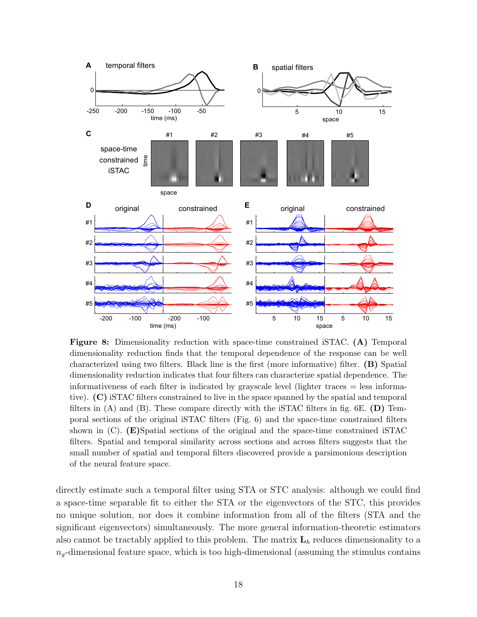

**Figure 8:** Dimensionality reduction with space-time constrained iSTAC. **(A)** Temporal dimensionality reduction finds that the temporal dependence of the response can be well characterized using two filters. Black line is the first (more informative) filter. **(B)** Spatial dimensionality reduction indicates that four filters can characterize spatial dependence. The informativeness of each filter is indicated by grayscale level (lighter traces = less informative). **(C)** iSTAC filters constrained to live in the space spanned by the spatial and temporal filters in (A) and (B). These compare directly with the iSTAC filters in fig. 6E. **(D)** Temporal sections of the original iSTAC filters (Fig. 6) and the space-time constrained filters shown in (C). **(E)**Spatial sections of the original and the space-time constrained iSTAC filters. Spatial and temporal similarity across sections and across filters suggests that the small number of spatial and temporal filters discovered provide a parsimonious description of the neural feature space.

directly estimate such a temporal filter using STA or STC analysis: although we could find a space-time separable fit to either the STA or the eigenvectors of the STC, this provides no unique solution, nor does it combine information from all of the filters (STA and the significant eigenvectors) simultaneously. The more general information-theoretic estimators also cannot be tractably applied to this problem. The matrix  $L_h$  reduces dimensionality to a  $n_q$ -dimensional feature space, which is too high-dimensional (assuming the stimulus contains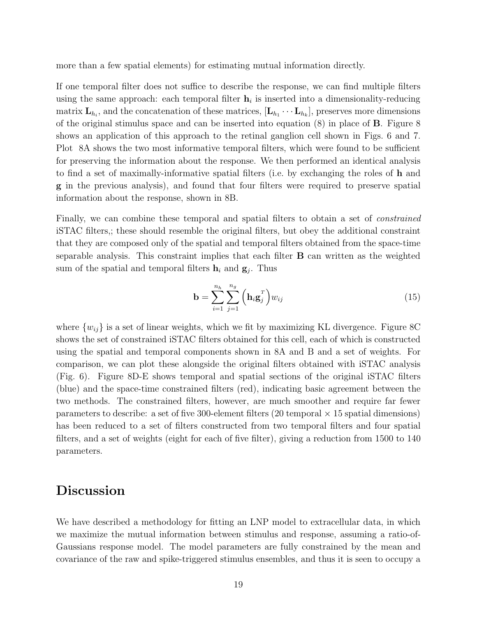more than a few spatial elements) for estimating mutual information directly.

If one temporal filter does not suffice to describe the response, we can find multiple filters using the same approach: each temporal filter  $h_i$  is inserted into a dimensionality-reducing matrix  $\mathbf{L}_{h_i}$ , and the concatenation of these matrices,  $[\mathbf{L}_{h_1} \cdots \mathbf{L}_{h_k}]$ , preserves more dimensions of the original stimulus space and can be inserted into equation (8) in place of **B**. Figure 8 shows an application of this approach to the retinal ganglion cell shown in Figs. 6 and 7. Plot 8A shows the two most informative temporal filters, which were found to be sufficient for preserving the information about the response. We then performed an identical analysis to find a set of maximally-informative spatial filters (i.e. by exchanging the roles of **h** and **g** in the previous analysis), and found that four filters were required to preserve spatial information about the response, shown in 8B.

Finally, we can combine these temporal and spatial filters to obtain a set of *constrained* iSTAC filters,; these should resemble the original filters, but obey the additional constraint that they are composed only of the spatial and temporal filters obtained from the space-time separable analysis. This constraint implies that each filter **B** can written as the weighted sum of the spatial and temporal filters  $\mathbf{h}_i$  and  $\mathbf{g}_j$ . Thus

$$
\mathbf{b} = \sum_{i=1}^{n_h} \sum_{j=1}^{n_g} \left( \mathbf{h}_i \mathbf{g}_j^T \right) w_{ij} \tag{15}
$$

where  $\{w_{ij}\}\$ is a set of linear weights, which we fit by maximizing KL divergence. Figure 8C shows the set of constrained iSTAC filters obtained for this cell, each of which is constructed using the spatial and temporal components shown in 8A and B and a set of weights. For comparison, we can plot these alongside the original filters obtained with iSTAC analysis (Fig. 6). Figure 8D-E shows temporal and spatial sections of the original iSTAC filters (blue) and the space-time constrained filters (red), indicating basic agreement between the two methods. The constrained filters, however, are much smoother and require far fewer parameters to describe: a set of five 300-element filters (20 temporal  $\times$  15 spatial dimensions) has been reduced to a set of filters constructed from two temporal filters and four spatial filters, and a set of weights (eight for each of five filter), giving a reduction from 1500 to 140 parameters.

### **Discussion**

We have described a methodology for fitting an LNP model to extracellular data, in which we maximize the mutual information between stimulus and response, assuming a ratio-of-Gaussians response model. The model parameters are fully constrained by the mean and covariance of the raw and spike-triggered stimulus ensembles, and thus it is seen to occupy a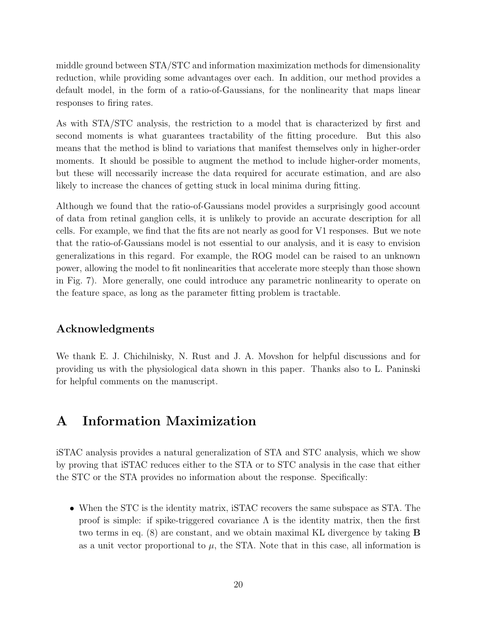middle ground between STA/STC and information maximization methods for dimensionality reduction, while providing some advantages over each. In addition, our method provides a default model, in the form of a ratio-of-Gaussians, for the nonlinearity that maps linear responses to firing rates.

As with STA/STC analysis, the restriction to a model that is characterized by first and second moments is what guarantees tractability of the fitting procedure. But this also means that the method is blind to variations that manifest themselves only in higher-order moments. It should be possible to augment the method to include higher-order moments, but these will necessarily increase the data required for accurate estimation, and are also likely to increase the chances of getting stuck in local minima during fitting.

Although we found that the ratio-of-Gaussians model provides a surprisingly good account of data from retinal ganglion cells, it is unlikely to provide an accurate description for all cells. For example, we find that the fits are not nearly as good for V1 responses. But we note that the ratio-of-Gaussians model is not essential to our analysis, and it is easy to envision generalizations in this regard. For example, the ROG model can be raised to an unknown power, allowing the model to fit nonlinearities that accelerate more steeply than those shown in Fig. 7). More generally, one could introduce any parametric nonlinearity to operate on the feature space, as long as the parameter fitting problem is tractable.

### **Acknowledgments**

We thank E. J. Chichilnisky, N. Rust and J. A. Movshon for helpful discussions and for providing us with the physiological data shown in this paper. Thanks also to L. Paninski for helpful comments on the manuscript.

# **A Information Maximization**

iSTAC analysis provides a natural generalization of STA and STC analysis, which we show by proving that iSTAC reduces either to the STA or to STC analysis in the case that either the STC or the STA provides no information about the response. Specifically:

• When the STC is the identity matrix, iSTAC recovers the same subspace as STA. The proof is simple: if spike-triggered covariance  $\Lambda$  is the identity matrix, then the first two terms in eq. (8) are constant, and we obtain maximal KL divergence by taking **B** as a unit vector proportional to  $\mu$ , the STA. Note that in this case, all information is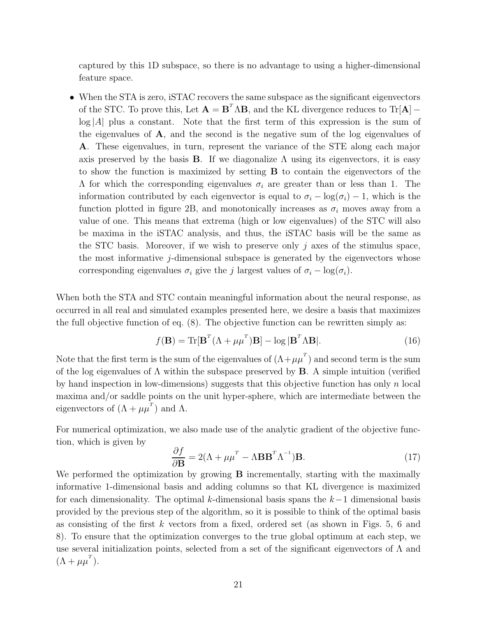captured by this 1D subspace, so there is no advantage to using a higher-dimensional feature space.

• When the STA is zero, iSTAC recovers the same subspace as the significant eigenvectors of the STC. To prove this, Let  $\mathbf{A} = \mathbf{B}^T \Lambda \mathbf{B}$ , and the KL divergence reduces to  $\text{Tr}[\mathbf{A}]$  –  $log|A|$  plus a constant. Note that the first term of this expression is the sum of the eigenvalues of  $\bf{A}$ , and the second is the negative sum of the log eigenvalues of **A**. These eigenvalues, in turn, represent the variance of the STE along each major axis preserved by the basis **B**. If we diagonalize  $\Lambda$  using its eigenvectors, it is easy to show the function is maximized by setting **B** to contain the eigenvectors of the Λ for which the corresponding eigenvalues <sup>σ</sup>*i* are greater than or less than 1. The information contributed by each eigenvector is equal to  $\sigma_i - \log(\sigma_i) - 1$ , which is the function plotted in figure 2B, and monotonically increases as  $\sigma_i$  moves away from a value of one. This means that extrema (high or low eigenvalues) of the STC will also be maxima in the iSTAC analysis, and thus, the iSTAC basis will be the same as the STC basis. Moreover, if we wish to preserve only  $j$  axes of the stimulus space, the most informative j-dimensional subspace is generated by the eigenvectors whose corresponding eigenvalues  $\sigma_i$  give the *j* largest values of  $\sigma_i - \log(\sigma_i)$ .

When both the STA and STC contain meaningful information about the neural response, as occurred in all real and simulated examples presented here, we desire a basis that maximizes the full objective function of eq. (8). The objective function can be rewritten simply as:

$$
f(\mathbf{B}) = \text{Tr}[\mathbf{B}^T(\Lambda + \mu \mu^T)\mathbf{B}] - \log|\mathbf{B}^T \Lambda \mathbf{B}|.
$$
 (16)

Note that the first term is the sum of the eigenvalues of  $(\Lambda + \mu \mu)$  and second term is the sum of the log eigenvalues of  $\Lambda$  within the subspace preserved by **B**. A simple intuition (verified by hand inspection in low-dimensions) suggests that this objective function has only n local maxima and/or saddle points on the unit hyper-sphere, which are intermediate between the eigenvectors of  $(\Lambda + \mu \mu^{\dagger})$  and  $\Lambda$ .

For numerical optimization, we also made use of the analytic gradient of the objective function, which is given by

$$
\frac{\partial f}{\partial \mathbf{B}} = 2(\Lambda + \mu \mu^{T} - \Lambda \mathbf{B} \mathbf{B}^{T} \Lambda^{-1}) \mathbf{B}.
$$
 (17)

We performed the optimization by growing **B** incrementally, starting with the maximally informative 1-dimensional basis and adding columns so that KL divergence is maximized for each dimensionality. The optimal k-dimensional basis spans the  $k-1$  dimensional basis provided by the previous step of the algorithm, so it is possible to think of the optimal basis as consisting of the first k vectors from a fixed, ordered set (as shown in Figs. 5, 6 and 8). To ensure that the optimization converges to the true global optimum at each step, we use several initialization points, selected from a set of the significant eigenvectors of  $\Lambda$  and  $(\Lambda + \mu \mu^{T}).$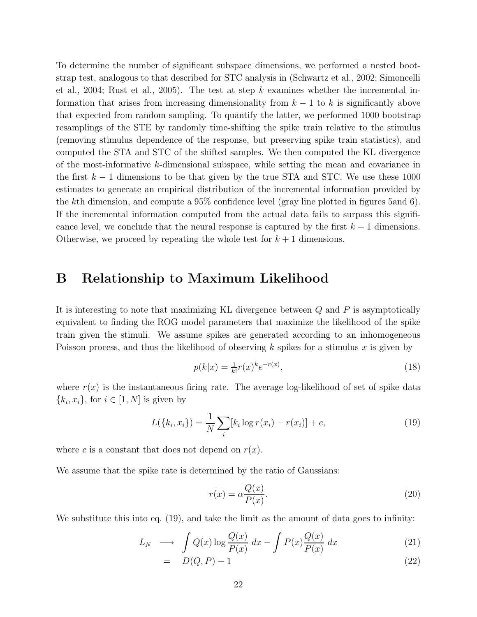To determine the number of significant subspace dimensions, we performed a nested bootstrap test, analogous to that described for STC analysis in (Schwartz et al., 2002; Simoncelli et al., 2004; Rust et al., 2005). The test at step k examines whether the incremental information that arises from increasing dimensionality from  $k-1$  to k is significantly above that expected from random sampling. To quantify the latter, we performed 1000 bootstrap resamplings of the STE by randomly time-shifting the spike train relative to the stimulus (removing stimulus dependence of the response, but preserving spike train statistics), and computed the STA and STC of the shifted samples. We then computed the KL divergence of the most-informative k-dimensional subspace, while setting the mean and covariance in the first  $k - 1$  dimensions to be that given by the true STA and STC. We use these 1000 estimates to generate an empirical distribution of the incremental information provided by the kth dimension, and compute a 95% confidence level (gray line plotted in figures 5and 6). If the incremental information computed from the actual data fails to surpass this significance level, we conclude that the neural response is captured by the first  $k - 1$  dimensions. Otherwise, we proceed by repeating the whole test for  $k+1$  dimensions.

### **B Relationship to Maximum Likelihood**

It is interesting to note that maximizing KL divergence between Q and P is asymptotically equivalent to finding the ROG model parameters that maximize the likelihood of the spike train given the stimuli. We assume spikes are generated according to an inhomogeneous Poisson process, and thus the likelihood of observing k spikes for a stimulus x is given by

$$
p(k|x) = \frac{1}{k!}r(x)^k e^{-r(x)},
$$
\n(18)

where  $r(x)$  is the instantaneous firing rate. The average log-likelihood of set of spike data  ${k_i, x_i}$ , for  $i \in [1, N]$  is given by

$$
L({k_i, x_i}) = \frac{1}{N} \sum_{i} [k_i \log r(x_i) - r(x_i)] + c,
$$
\n(19)

where c is a constant that does not depend on  $r(x)$ .

We assume that the spike rate is determined by the ratio of Gaussians:

$$
r(x) = \alpha \frac{Q(x)}{P(x)}.\t(20)
$$

We substitute this into eq.  $(19)$ , and take the limit as the amount of data goes to infinity:

$$
L_N \longrightarrow \int Q(x) \log \frac{Q(x)}{P(x)} dx - \int P(x) \frac{Q(x)}{P(x)} dx \tag{21}
$$

$$
= D(Q, P) - 1 \tag{22}
$$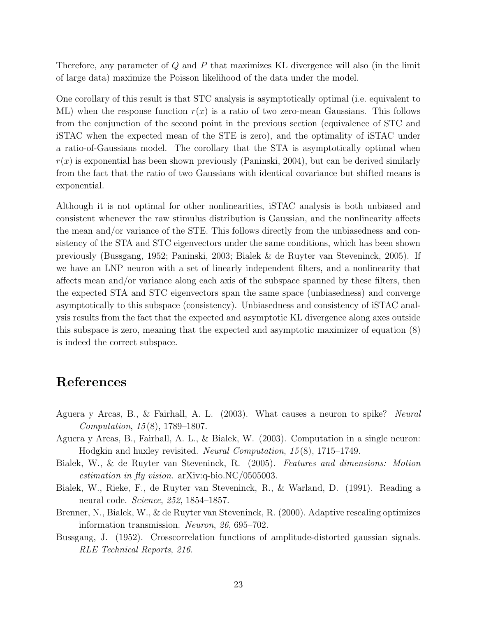Therefore, any parameter of Q and P that maximizes KL divergence will also (in the limit of large data) maximize the Poisson likelihood of the data under the model.

One corollary of this result is that STC analysis is asymptotically optimal (i.e. equivalent to ML) when the response function  $r(x)$  is a ratio of two zero-mean Gaussians. This follows from the conjunction of the second point in the previous section (equivalence of STC and iSTAC when the expected mean of the STE is zero), and the optimality of iSTAC under a ratio-of-Gaussians model. The corollary that the STA is asymptotically optimal when  $r(x)$  is exponential has been shown previously (Paninski, 2004), but can be derived similarly from the fact that the ratio of two Gaussians with identical covariance but shifted means is exponential.

Although it is not optimal for other nonlinearities, iSTAC analysis is both unbiased and consistent whenever the raw stimulus distribution is Gaussian, and the nonlinearity affects the mean and/or variance of the STE. This follows directly from the unbiasedness and consistency of the STA and STC eigenvectors under the same conditions, which has been shown previously (Bussgang, 1952; Paninski, 2003; Bialek & de Ruyter van Steveninck, 2005). If we have an LNP neuron with a set of linearly independent filters, and a nonlinearity that affects mean and/or variance along each axis of the subspace spanned by these filters, then the expected STA and STC eigenvectors span the same space (unbiasedness) and converge asymptotically to this subspace (consistency). Unbiasedness and consistency of iSTAC analysis results from the fact that the expected and asymptotic KL divergence along axes outside this subspace is zero, meaning that the expected and asymptotic maximizer of equation (8) is indeed the correct subspace.

### **References**

- Aguera y Arcas, B., & Fairhall, A. L. (2003). What causes a neuron to spike? *Neural Computation*, *15* (8), 1789–1807.
- Aguera y Arcas, B., Fairhall, A. L., & Bialek, W. (2003). Computation in a single neuron: Hodgkin and huxley revisited. *Neural Computation*, *15* (8), 1715–1749.
- Bialek, W., & de Ruyter van Steveninck, R. (2005). *Features and dimensions: Motion estimation in fly vision.* arXiv:q-bio.NC/0505003.
- Bialek, W., Rieke, F., de Ruyter van Steveninck, R., & Warland, D. (1991). Reading a neural code. *Science*, *252*, 1854–1857.
- Brenner, N., Bialek, W., & de Ruyter van Steveninck, R. (2000). Adaptive rescaling optimizes information transmission. *Neuron*, *26*, 695–702.
- Bussgang, J. (1952). Crosscorrelation functions of amplitude-distorted gaussian signals. *RLE Technical Reports*, *216*.